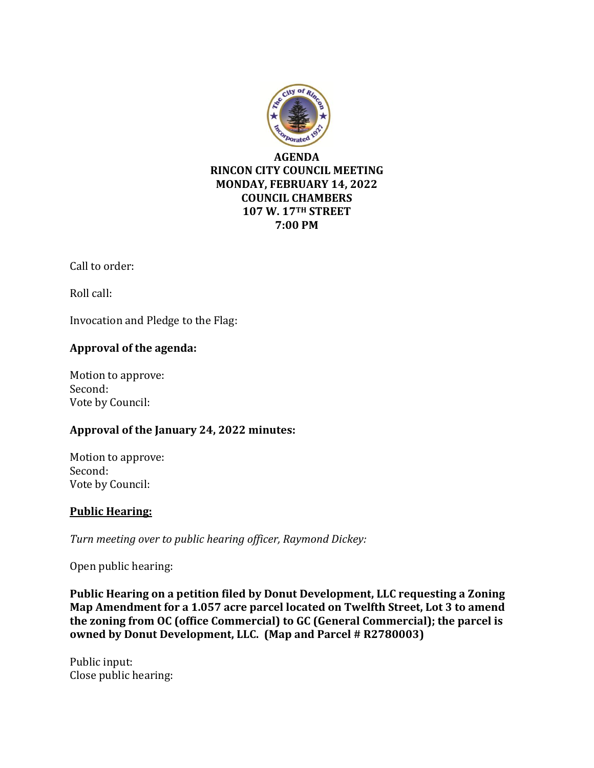

Call to order:

Roll call:

Invocation and Pledge to the Flag:

# **Approval of the agenda:**

Motion to approve: Second: Vote by Council:

# **Approval of the January 24, 2022 minutes:**

Motion to approve: Second: Vote by Council:

### **Public Hearing:**

*Turn meeting over to public hearing officer, Raymond Dickey:*

Open public hearing:

**Public Hearing on a petition filed by Donut Development, LLC requesting a Zoning Map Amendment for a 1.057 acre parcel located on Twelfth Street, Lot 3 to amend the zoning from OC (office Commercial) to GC (General Commercial); the parcel is owned by Donut Development, LLC. (Map and Parcel # R2780003)**

Public input: Close public hearing: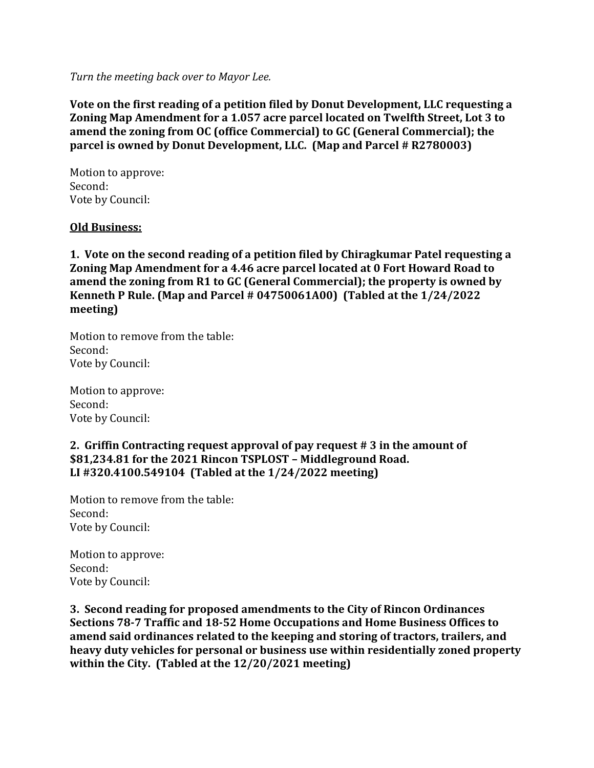*Turn the meeting back over to Mayor Lee.*

**Vote on the first reading of a petition filed by Donut Development, LLC requesting a Zoning Map Amendment for a 1.057 acre parcel located on Twelfth Street, Lot 3 to amend the zoning from OC (office Commercial) to GC (General Commercial); the parcel is owned by Donut Development, LLC. (Map and Parcel # R2780003)**

Motion to approve: Second: Vote by Council:

#### **Old Business:**

**1. Vote on the second reading of a petition filed by Chiragkumar Patel requesting a Zoning Map Amendment for a 4.46 acre parcel located at 0 Fort Howard Road to amend the zoning from R1 to GC (General Commercial); the property is owned by Kenneth P Rule. (Map and Parcel # 04750061A00) (Tabled at the 1/24/2022 meeting)**

Motion to remove from the table: Second: Vote by Council:

Motion to approve: Second: Vote by Council:

#### **2. Griffin Contracting request approval of pay request # 3 in the amount of \$81,234.81 for the 2021 Rincon TSPLOST – Middleground Road. LI #320.4100.549104 (Tabled at the 1/24/2022 meeting)**

Motion to remove from the table: Second: Vote by Council:

Motion to approve: Second: Vote by Council:

**3. Second reading for proposed amendments to the City of Rincon Ordinances Sections 78-7 Traffic and 18-52 Home Occupations and Home Business Offices to amend said ordinances related to the keeping and storing of tractors, trailers, and heavy duty vehicles for personal or business use within residentially zoned property within the City. (Tabled at the 12/20/2021 meeting)**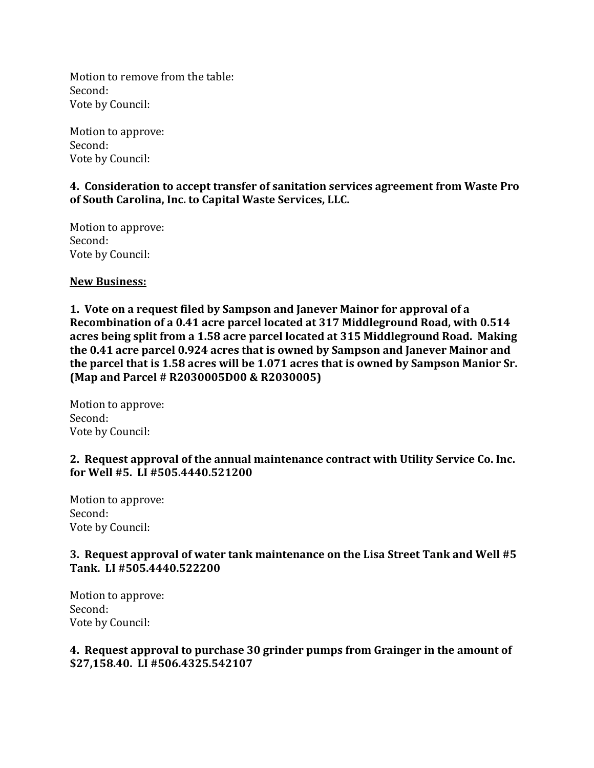Motion to remove from the table: Second: Vote by Council:

Motion to approve: Second: Vote by Council:

### **4. Consideration to accept transfer of sanitation services agreement from Waste Pro of South Carolina, Inc. to Capital Waste Services, LLC.**

Motion to approve: Second: Vote by Council:

**New Business:**

**1. Vote on a request filed by Sampson and Janever Mainor for approval of a Recombination of a 0.41 acre parcel located at 317 Middleground Road, with 0.514 acres being split from a 1.58 acre parcel located at 315 Middleground Road. Making the 0.41 acre parcel 0.924 acres that is owned by Sampson and Janever Mainor and the parcel that is 1.58 acres will be 1.071 acres that is owned by Sampson Manior Sr. (Map and Parcel # R2030005D00 & R2030005)**

Motion to approve: Second: Vote by Council:

### **2. Request approval of the annual maintenance contract with Utility Service Co. Inc. for Well #5. LI #505.4440.521200**

Motion to approve: Second: Vote by Council:

# **3. Request approval of water tank maintenance on the Lisa Street Tank and Well #5 Tank. LI #505.4440.522200**

Motion to approve: Second: Vote by Council:

# **4. Request approval to purchase 30 grinder pumps from Grainger in the amount of \$27,158.40. LI #506.4325.542107**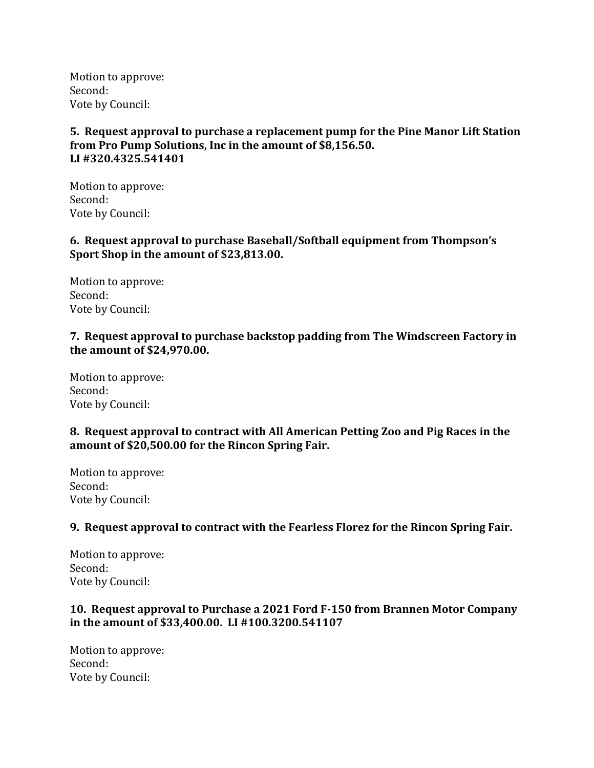Motion to approve: Second: Vote by Council:

**5. Request approval to purchase a replacement pump for the Pine Manor Lift Station from Pro Pump Solutions, Inc in the amount of \$8,156.50. LI #320.4325.541401**

Motion to approve: Second: Vote by Council:

**6. Request approval to purchase Baseball/Softball equipment from Thompson's Sport Shop in the amount of \$23,813.00.**

Motion to approve: Second: Vote by Council:

#### **7. Request approval to purchase backstop padding from The Windscreen Factory in the amount of \$24,970.00.**

Motion to approve: Second: Vote by Council:

# **8. Request approval to contract with All American Petting Zoo and Pig Races in the amount of \$20,500.00 for the Rincon Spring Fair.**

Motion to approve: Second: Vote by Council:

### **9. Request approval to contract with the Fearless Florez for the Rincon Spring Fair.**

Motion to approve: Second: Vote by Council:

# **10. Request approval to Purchase a 2021 Ford F-150 from Brannen Motor Company in the amount of \$33,400.00. LI #100.3200.541107**

Motion to approve: Second: Vote by Council: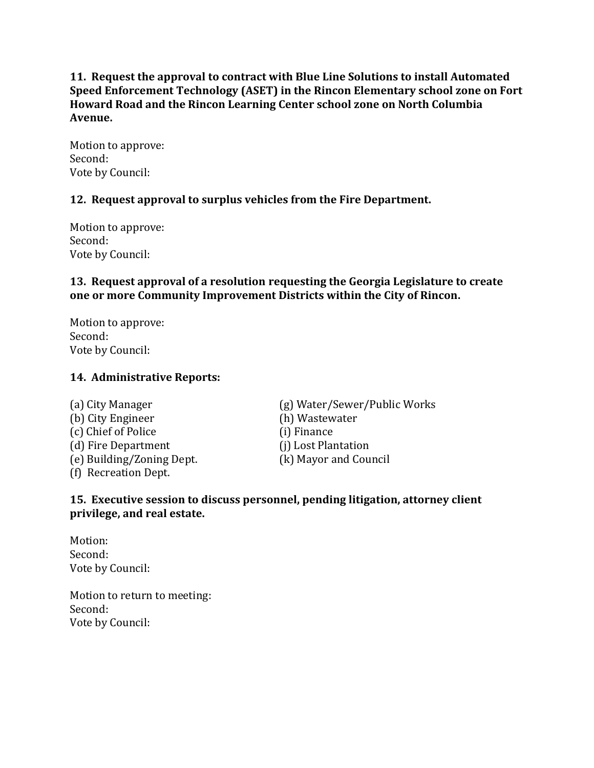**11. Request the approval to contract with Blue Line Solutions to install Automated Speed Enforcement Technology (ASET) in the Rincon Elementary school zone on Fort Howard Road and the Rincon Learning Center school zone on North Columbia Avenue.**

Motion to approve: Second: Vote by Council:

# **12. Request approval to surplus vehicles from the Fire Department.**

Motion to approve: Second: Vote by Council:

### **13. Request approval of a resolution requesting the Georgia Legislature to create one or more Community Improvement Districts within the City of Rincon.**

Motion to approve: Second: Vote by Council:

### **14. Administrative Reports:**

(b) City Engineer (h) Wastewater (c) Chief of Police (i) Finance (d) Fire Department (i) Lost Plantation (e) Building/Zoning Dept. (k) Mayor and Council (f) Recreation Dept.

(a) City Manager (g) Water/Sewer/Public Works

### **15. Executive session to discuss personnel, pending litigation, attorney client privilege, and real estate.**

Motion: Second: Vote by Council:

Motion to return to meeting: Second: Vote by Council: